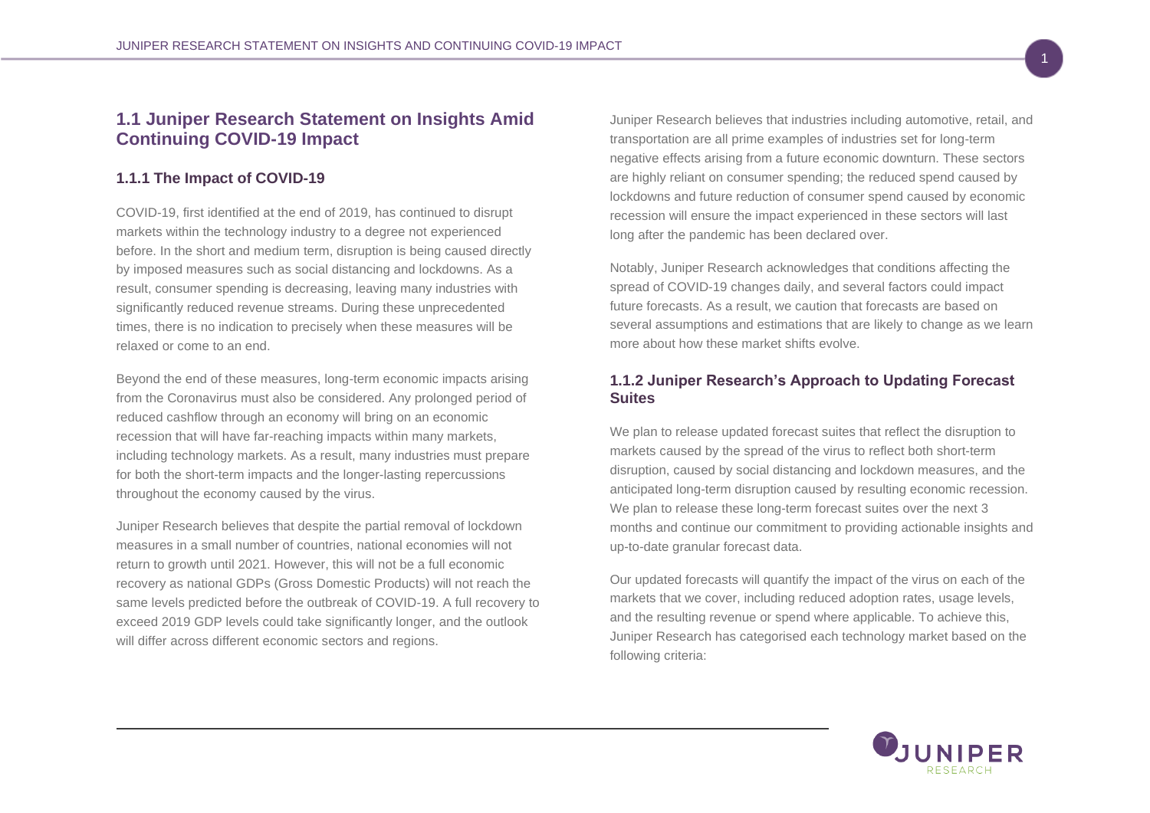# **1.1 Juniper Research Statement on Insights Amid Continuing COVID-19 Impact**

## **1.1.1 The Impact of COVID-19**

COVID-19, first identified at the end of 2019, has continued to disrupt markets within the technology industry to a degree not experienced before. In the short and medium term, disruption is being caused directly by imposed measures such as social distancing and lockdowns. As a result, consumer spending is decreasing, leaving many industries with significantly reduced revenue streams. During these unprecedented times, there is no indication to precisely when these measures will be relaxed or come to an end.

Beyond the end of these measures, long-term economic impacts arising from the Coronavirus must also be considered. Any prolonged period of reduced cashflow through an economy will bring on an economic recession that will have far-reaching impacts within many markets, including technology markets. As a result, many industries must prepare for both the short-term impacts and the longer-lasting repercussions throughout the economy caused by the virus.

Juniper Research believes that despite the partial removal of lockdown measures in a small number of countries, national economies will not return to growth until 2021. However, this will not be a full economic recovery as national GDPs (Gross Domestic Products) will not reach the same levels predicted before the outbreak of COVID-19. A full recovery to exceed 2019 GDP levels could take significantly longer, and the outlook will differ across different economic sectors and regions.

Juniper Research believes that industries including automotive, retail, and transportation are all prime examples of industries set for long-term negative effects arising from a future economic downturn. These sectors are highly reliant on consumer spending; the reduced spend caused by lockdowns and future reduction of consumer spend caused by economic recession will ensure the impact experienced in these sectors will last long after the pandemic has been declared over.

Notably, Juniper Research acknowledges that conditions affecting the spread of COVID-19 changes daily, and several factors could impact future forecasts. As a result, we caution that forecasts are based on several assumptions and estimations that are likely to change as we learn more about how these market shifts evolve.

### **1.1.2 Juniper Research's Approach to Updating Forecast Suites**

We plan to release updated forecast suites that reflect the disruption to markets caused by the spread of the virus to reflect both short-term disruption, caused by social distancing and lockdown measures, and the anticipated long-term disruption caused by resulting economic recession. We plan to release these long-term forecast suites over the next 3 months and continue our commitment to providing actionable insights and up-to-date granular forecast data.

Our updated forecasts will quantify the impact of the virus on each of the markets that we cover, including reduced adoption rates, usage levels, and the resulting revenue or spend where applicable. To achieve this, Juniper Research has categorised each technology market based on the following criteria:

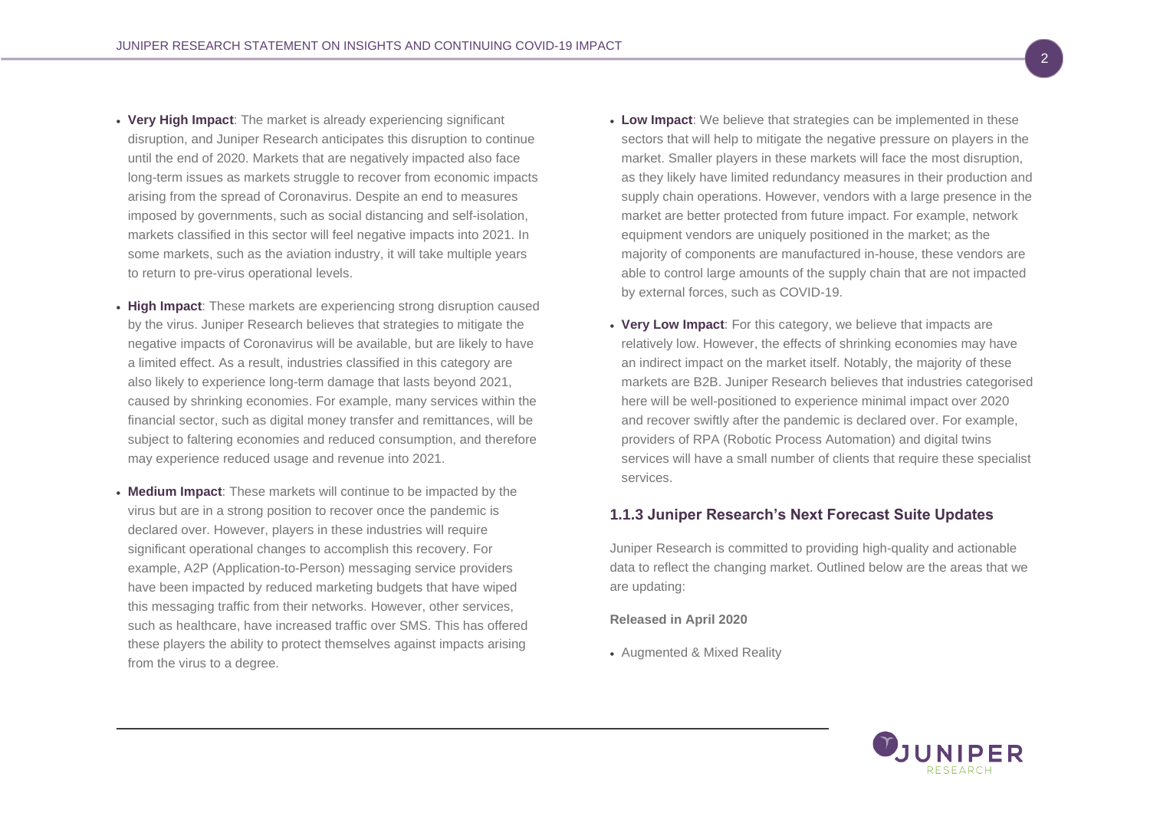- **Very High Impact**: The market is already experiencing significant disruption, and Juniper Research anticipates this disruption to continue until the end of 2020. Markets that are negatively impacted also face long-term issues as markets struggle to recover from economic impacts arising from the spread of Coronavirus. Despite an end to measures imposed by governments, such as social distancing and self-isolation, markets classified in this sector will feel negative impacts into 2021. In some markets, such as the aviation industry, it will take multiple years to return to pre-virus operational levels.
- **High Impact**: These markets are experiencing strong disruption caused by the virus. Juniper Research believes that strategies to mitigate the negative impacts of Coronavirus will be available, but are likely to have a limited effect. As a result, industries classified in this category are also likely to experience long-term damage that lasts beyond 2021, caused by shrinking economies. For example, many services within the financial sector, such as digital money transfer and remittances, will be subject to faltering economies and reduced consumption, and therefore may experience reduced usage and revenue into 2021.
- **Medium Impact**: These markets will continue to be impacted by the virus but are in a strong position to recover once the pandemic is declared over. However, players in these industries will require significant operational changes to accomplish this recovery. For example, A2P (Application-to-Person) messaging service providers have been impacted by reduced marketing budgets that have wiped this messaging traffic from their networks. However, other services, such as healthcare, have increased traffic over SMS. This has offered these players the ability to protect themselves against impacts arising from the virus to a degree.
- **Low Impact**: We believe that strategies can be implemented in these sectors that will help to mitigate the negative pressure on players in the market. Smaller players in these markets will face the most disruption, as they likely have limited redundancy measures in their production and supply chain operations. However, vendors with a large presence in the market are better protected from future impact. For example, network equipment vendors are uniquely positioned in the market; as the majority of components are manufactured in-house, these vendors are able to control large amounts of the supply chain that are not impacted by external forces, such as COVID-19.
- **Very Low Impact**: For this category, we believe that impacts are relatively low. However, the effects of shrinking economies may have an indirect impact on the market itself. Notably, the majority of these markets are B2B. Juniper Research believes that industries categorised here will be well-positioned to experience minimal impact over 2020 and recover swiftly after the pandemic is declared over. For example, providers of RPA (Robotic Process Automation) and digital twins services will have a small number of clients that require these specialist services.

#### **1.1.3 Juniper Research's Next Forecast Suite Updates**

Juniper Research is committed to providing high-quality and actionable data to reflect the changing market. Outlined below are the areas that we are updating:

#### **Released in April 2020**

• Augmented & Mixed Reality